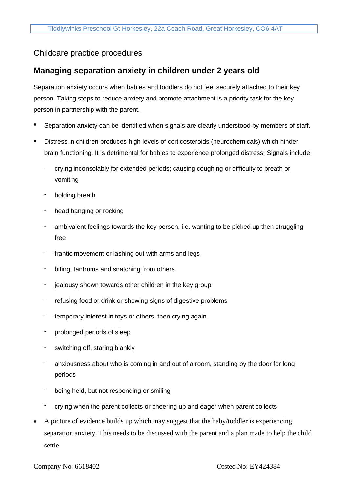## Childcare practice procedures

## **Managing separation anxiety in children under 2 years old**

Separation anxiety occurs when babies and toddlers do not feel securely attached to their key person. Taking steps to reduce anxiety and promote attachment is a priority task for the key person in partnership with the parent.

- Separation anxiety can be identified when signals are clearly understood by members of staff.
- Distress in children produces high levels of corticosteroids (neurochemicals) which hinder brain functioning. It is detrimental for babies to experience prolonged distress. Signals include:
	- crying inconsolably for extended periods; causing coughing or difficulty to breath or vomiting
	- holding breath
	- head banging or rocking
	- ambivalent feelings towards the key person, i.e. wanting to be picked up then struggling free
	- frantic movement or lashing out with arms and legs
	- biting, tantrums and snatching from others.
	- jealousy shown towards other children in the key group
	- refusing food or drink or showing signs of digestive problems
	- temporary interest in toys or others, then crying again.
	- prolonged periods of sleep
	- switching off, staring blankly
	- anxiousness about who is coming in and out of a room, standing by the door for long periods
	- being held, but not responding or smiling
	- crying when the parent collects or cheering up and eager when parent collects
- A picture of evidence builds up which may suggest that the baby/toddler is experiencing separation anxiety. This needs to be discussed with the parent and a plan made to help the child settle.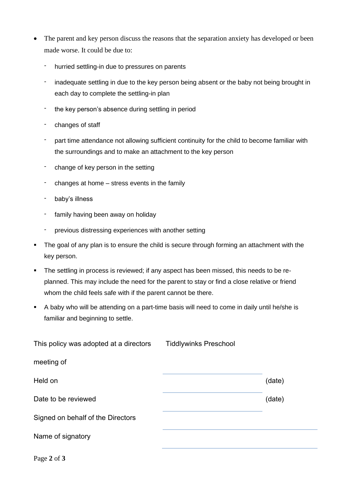- The parent and key person discuss the reasons that the separation anxiety has developed or been made worse. It could be due to:
	- hurried settling-in due to pressures on parents
	- inadequate settling in due to the key person being absent or the baby not being brought in each day to complete the settling-in plan
	- the key person's absence during settling in period
	- changes of staff
	- part time attendance not allowing sufficient continuity for the child to become familiar with the surroundings and to make an attachment to the key person
	- change of key person in the setting
	- changes at home stress events in the family
	- baby's illness
	- family having been away on holiday
	- previous distressing experiences with another setting
- **•** The goal of any plan is to ensure the child is secure through forming an attachment with the key person.
- The settling in process is reviewed; if any aspect has been missed, this needs to be replanned. This may include the need for the parent to stay or find a close relative or friend whom the child feels safe with if the parent cannot be there.
- A baby who will be attending on a part-time basis will need to come in daily until he/she is familiar and beginning to settle.

| This policy was adopted at a directors | <b>Tiddlywinks Preschool</b> |        |
|----------------------------------------|------------------------------|--------|
| meeting of                             |                              |        |
| Held on                                |                              | (date) |
| Date to be reviewed                    |                              | (date) |
| Signed on behalf of the Directors      |                              |        |
| Name of signatory                      |                              |        |
|                                        |                              |        |

Page **2** of **3**